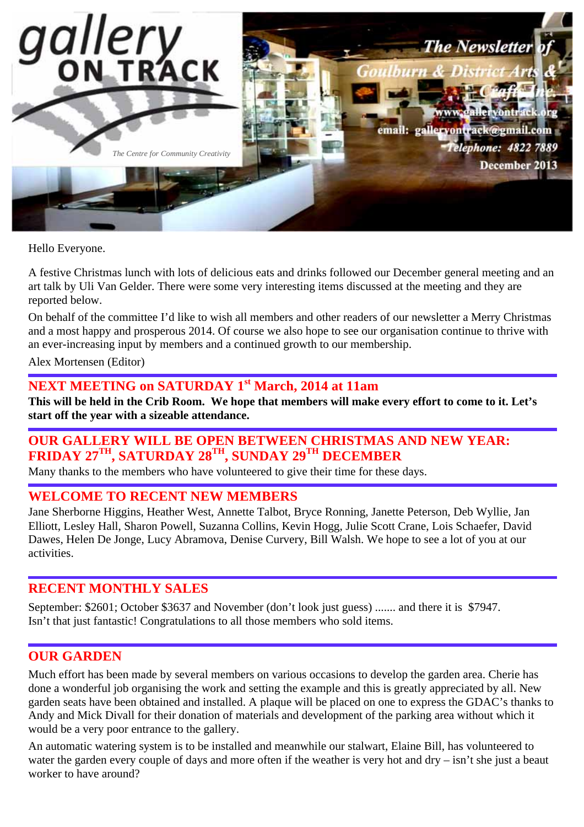

Hello Everyone.

A festive Christmas lunch with lots of delicious eats and drinks followed our December general meeting and an art talk by Uli Van Gelder. There were some very interesting items discussed at the meeting and they are reported below.

On behalf of the committee I'd like to wish all members and other readers of our newsletter a Merry Christmas and a most happy and prosperous 2014. Of course we also hope to see our organisation continue to thrive with an ever-increasing input by members and a continued growth to our membership.

Alex Mortensen (Editor)

# **NEXT MEETING on SATURDAY 1st March, 2014 at 11am**

**This will be held in the Crib Room. We hope that members will make every effort to come to it. Let's start off the year with a sizeable attendance.** 

## **OUR GALLERY WILL BE OPEN BETWEEN CHRISTMAS AND NEW YEAR: FRIDAY 27TH, SATURDAY 28TH, SUNDAY 29TH DECEMBER**

Many thanks to the members who have volunteered to give their time for these days.

#### **WELCOME TO RECENT NEW MEMBERS**

Jane Sherborne Higgins, Heather West, Annette Talbot, Bryce Ronning, Janette Peterson, Deb Wyllie, Jan Elliott, Lesley Hall, Sharon Powell, Suzanna Collins, Kevin Hogg, Julie Scott Crane, Lois Schaefer, David Dawes, Helen De Jonge, Lucy Abramova, Denise Curvery, Bill Walsh. We hope to see a lot of you at our activities.

#### **RECENT MONTHLY SALES**

September: \$2601; October \$3637 and November (don't look just guess) ....... and there it is \$7947. Isn't that just fantastic! Congratulations to all those members who sold items.

## **OUR GARDEN**

Much effort has been made by several members on various occasions to develop the garden area. Cherie has done a wonderful job organising the work and setting the example and this is greatly appreciated by all. New garden seats have been obtained and installed. A plaque will be placed on one to express the GDAC's thanks to Andy and Mick Divall for their donation of materials and development of the parking area without which it would be a very poor entrance to the gallery.

An automatic watering system is to be installed and meanwhile our stalwart, Elaine Bill, has volunteered to water the garden every couple of days and more often if the weather is very hot and dry – isn't she just a beaut worker to have around?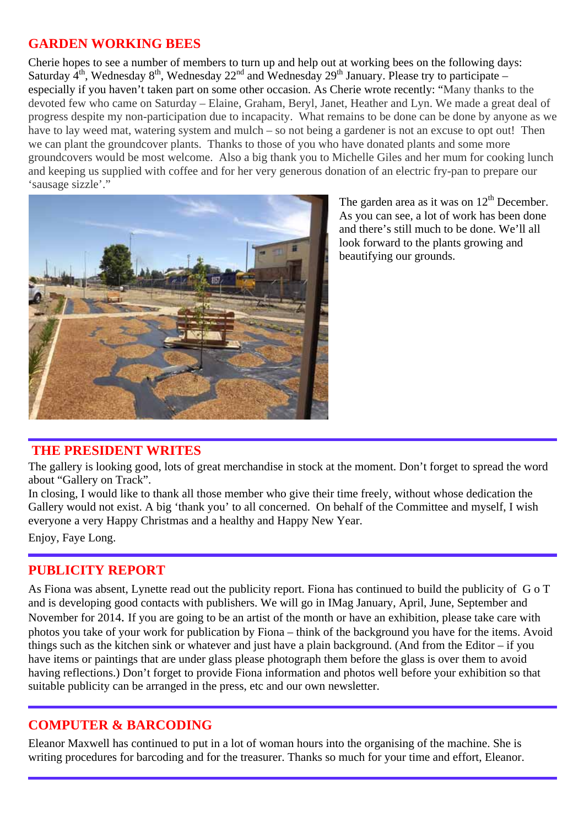## **GARDEN WORKING BEES**

Cherie hopes to see a number of members to turn up and help out at working bees on the following days: Saturday  $4<sup>th</sup>$ , Wednesday  $8<sup>th</sup>$ , Wednesday  $22<sup>nd</sup>$  and Wednesday  $29<sup>th</sup>$  January. Please try to participate – especially if you haven't taken part on some other occasion. As Cherie wrote recently: "Many thanks to the devoted few who came on Saturday – Elaine, Graham, Beryl, Janet, Heather and Lyn. We made a great deal of progress despite my non-participation due to incapacity. What remains to be done can be done by anyone as we have to lay weed mat, watering system and mulch – so not being a gardener is not an excuse to opt out! Then we can plant the groundcover plants. Thanks to those of you who have donated plants and some more groundcovers would be most welcome. Also a big thank you to Michelle Giles and her mum for cooking lunch and keeping us supplied with coffee and for her very generous donation of an electric fry-pan to prepare our 'sausage sizzle'."



The garden area as it was on  $12<sup>th</sup>$  December. As you can see, a lot of work has been done and there's still much to be done. We'll all look forward to the plants growing and beautifying our grounds.

## **THE PRESIDENT WRITES**

The gallery is looking good, lots of great merchandise in stock at the moment. Don't forget to spread the word about "Gallery on Track".

In closing, I would like to thank all those member who give their time freely, without whose dedication the Gallery would not exist. A big 'thank you' to all concerned. On behalf of the Committee and myself, I wish everyone a very Happy Christmas and a healthy and Happy New Year.

Enjoy, Faye Long.

## **PUBLICITY REPORT**

As Fiona was absent, Lynette read out the publicity report. Fiona has continued to build the publicity of G o T and is developing good contacts with publishers. We will go in IMag January, April, June, September and November for 2014. If you are going to be an artist of the month or have an exhibition, please take care with photos you take of your work for publication by Fiona – think of the background you have for the items. Avoid things such as the kitchen sink or whatever and just have a plain background. (And from the Editor – if you have items or paintings that are under glass please photograph them before the glass is over them to avoid having reflections.) Don't forget to provide Fiona information and photos well before your exhibition so that suitable publicity can be arranged in the press, etc and our own newsletter.

## **COMPUTER & BARCODING**

Eleanor Maxwell has continued to put in a lot of woman hours into the organising of the machine. She is writing procedures for barcoding and for the treasurer. Thanks so much for your time and effort, Eleanor.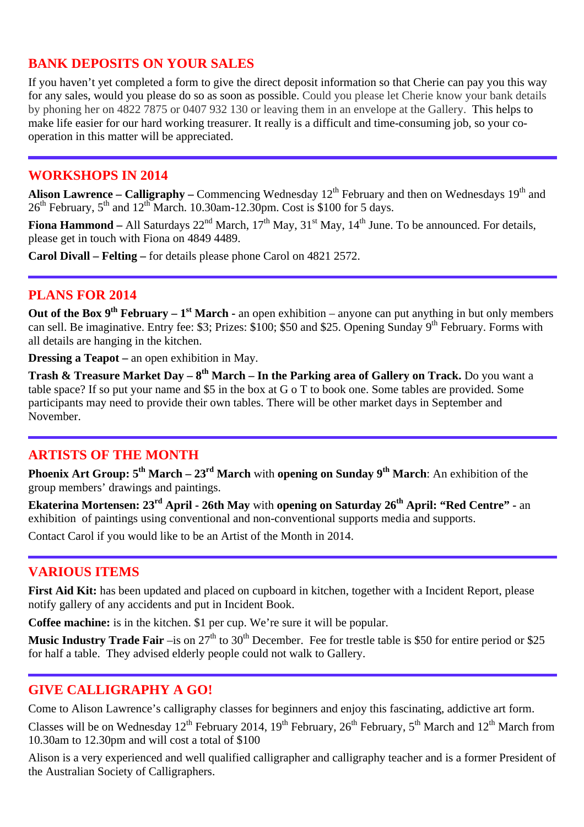## **BANK DEPOSITS ON YOUR SALES**

If you haven't yet completed a form to give the direct deposit information so that Cherie can pay you this way for any sales, would you please do so as soon as possible. Could you please let Cherie know your bank details by phoning her on 4822 7875 or 0407 932 130 or leaving them in an envelope at the Gallery. This helps to make life easier for our hard working treasurer. It really is a difficult and time-consuming job, so your cooperation in this matter will be appreciated.

#### **WORKSHOPS IN 2014**

Alison Lawrence – Calligraphy – Commencing Wednesday 12<sup>th</sup> February and then on Wednesdays 19<sup>th</sup> and  $26<sup>th</sup>$  February,  $5<sup>th</sup>$  and  $12<sup>th</sup>$  March. 10.30am-12.30pm. Cost is \$100 for 5 days.

**Fiona Hammond** – All Saturdays  $22<sup>nd</sup>$  March,  $17<sup>th</sup>$  May,  $31<sup>st</sup>$  May,  $14<sup>th</sup>$  June. To be announced. For details, please get in touch with Fiona on 4849 4489.

**Carol Divall – Felting –** for details please phone Carol on 4821 2572.

#### **PLANS FOR 2014**

**Out of the Box 9<sup>th</sup> February – 1<sup>st</sup> March -** an open exhibition – anyone can put anything in but only members can sell. Be imaginative. Entry fee: \$3; Prizes: \$100; \$50 and \$25. Opening Sunday 9<sup>th</sup> February. Forms with all details are hanging in the kitchen.

**Dressing a Teapot –** an open exhibition in May.

**Trash & Treasure Market Day – 8<sup>th</sup> March – In the Parking area of Gallery on Track.** Do you want a table space? If so put your name and \$5 in the box at G o T to book one. Some tables are provided. Some participants may need to provide their own tables. There will be other market days in September and November.

## **ARTISTS OF THE MONTH**

**Phoenix Art Group: 5<sup>th</sup> March – 23<sup>rd</sup> March** with **opening on Sunday 9<sup>th</sup> March**: An exhibition of the group members' drawings and paintings.

**Ekaterina Mortensen: 23rd April - 26th May** with **opening on Saturday 26th April: "Red Centre" -** an exhibition of paintings using conventional and non-conventional supports media and supports.

Contact Carol if you would like to be an Artist of the Month in 2014.

## **VARIOUS ITEMS**

First Aid Kit: has been updated and placed on cupboard in kitchen, together with a Incident Report, please notify gallery of any accidents and put in Incident Book.

**Coffee machine:** is in the kitchen. \$1 per cup. We're sure it will be popular.

**Music Industry Trade Fair** –is on 27<sup>th</sup> to 30<sup>th</sup> December. Fee for trestle table is \$50 for entire period or \$25 for half a table. They advised elderly people could not walk to Gallery.

## **GIVE CALLIGRAPHY A GO!**

Come to Alison Lawrence's calligraphy classes for beginners and enjoy this fascinating, addictive art form.

Classes will be on Wednesday  $12^{th}$  February 2014, 19<sup>th</sup> February,  $26^{th}$  February,  $5^{th}$  March and  $12^{th}$  March from 10.30am to 12.30pm and will cost a total of \$100

Alison is a very experienced and well qualified calligrapher and calligraphy teacher and is a former President of the Australian Society of Calligraphers.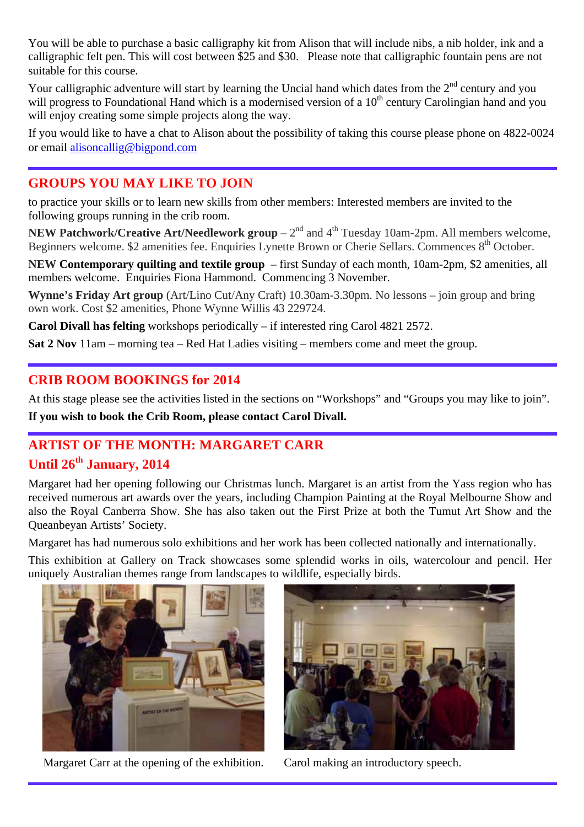You will be able to purchase a basic calligraphy kit from Alison that will include nibs, a nib holder, ink and a calligraphic felt pen. This will cost between \$25 and \$30. Please note that calligraphic fountain pens are not suitable for this course.

Your calligraphic adventure will start by learning the Uncial hand which dates from the  $2<sup>nd</sup>$  century and you will progress to Foundational Hand which is a modernised version of a  $10<sup>th</sup>$  century Carolingian hand and you will enjoy creating some simple projects along the way.

If you would like to have a chat to Alison about the possibility of taking this course please phone on 4822-0024 or email alisoncallig@bigpond.com

## **GROUPS YOU MAY LIKE TO JOIN**

to practice your skills or to learn new skills from other members: Interested members are invited to the following groups running in the crib room.

**NEW Patchwork/Creative Art/Needlework group** –  $2<sup>nd</sup>$  and  $4<sup>th</sup>$  Tuesday 10am-2pm. All members welcome, Beginners welcome. \$2 amenities fee. Enquiries Lynette Brown or Cherie Sellars. Commences 8<sup>th</sup> October.

**NEW Contemporary quilting and textile group** – first Sunday of each month, 10am-2pm, \$2 amenities, all members welcome. Enquiries Fiona Hammond. Commencing 3 November.

**Wynne's Friday Art group** (Art/Lino Cut/Any Craft) 10.30am-3.30pm. No lessons – join group and bring own work. Cost \$2 amenities, Phone Wynne Willis 43 229724.

**Carol Divall has felting** workshops periodically – if interested ring Carol 4821 2572.

**Sat 2 Nov** 11am – morning tea – Red Hat Ladies visiting – members come and meet the group.

## **CRIB ROOM BOOKINGS for 2014**

At this stage please see the activities listed in the sections on "Workshops" and "Groups you may like to join". **If you wish to book the Crib Room, please contact Carol Divall.** 

# **ARTIST OF THE MONTH: MARGARET CARR**

## **Until 26th January, 2014**

Margaret had her opening following our Christmas lunch. Margaret is an artist from the Yass region who has received numerous art awards over the years, including Champion Painting at the Royal Melbourne Show and also the Royal Canberra Show. She has also taken out the First Prize at both the Tumut Art Show and the Queanbeyan Artists' Society.

Margaret has had numerous solo exhibitions and her work has been collected nationally and internationally.

This exhibition at Gallery on Track showcases some splendid works in oils, watercolour and pencil. Her uniquely Australian themes range from landscapes to wildlife, especially birds.



Margaret Carr at the opening of the exhibition. Carol making an introductory speech.

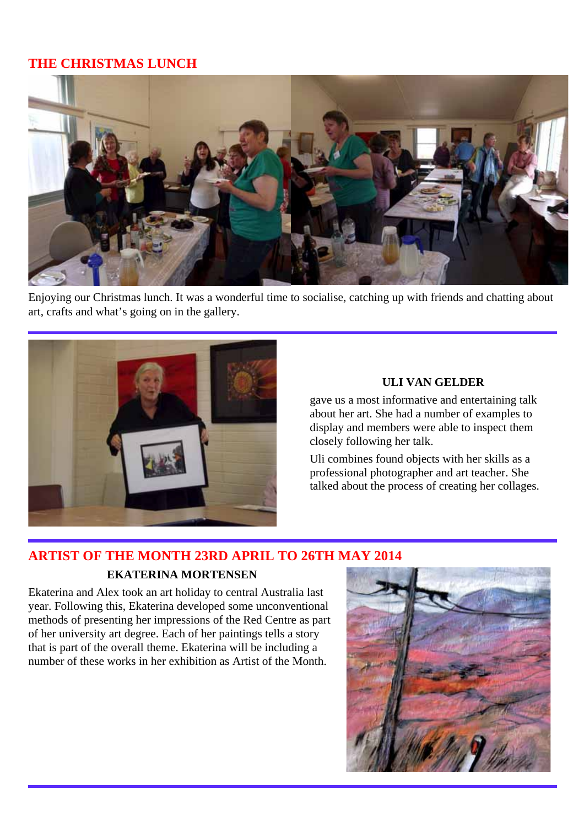## **THE CHRISTMAS LUNCH**



Enjoying our Christmas lunch. It was a wonderful time to socialise, catching up with friends and chatting about art, crafts and what's going on in the gallery.



#### **ULI VAN GELDER**

gave us a most informative and entertaining talk about her art. She had a number of examples to display and members were able to inspect them closely following her talk.

Uli combines found objects with her skills as a professional photographer and art teacher. She talked about the process of creating her collages.

# **ARTIST OF THE MONTH 23RD APRIL TO 26TH MAY 2014**

#### **EKATERINA MORTENSEN**

Ekaterina and Alex took an art holiday to central Australia last year. Following this, Ekaterina developed some unconventional methods of presenting her impressions of the Red Centre as part of her university art degree. Each of her paintings tells a story that is part of the overall theme. Ekaterina will be including a number of these works in her exhibition as Artist of the Month.